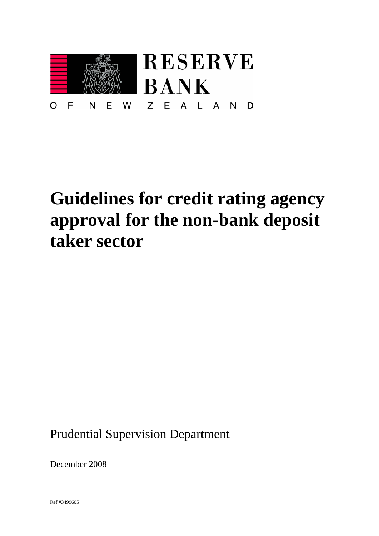

# **Guidelines for credit rating agency approval for the non-bank deposit taker sector**

Prudential Supervision Department

December 2008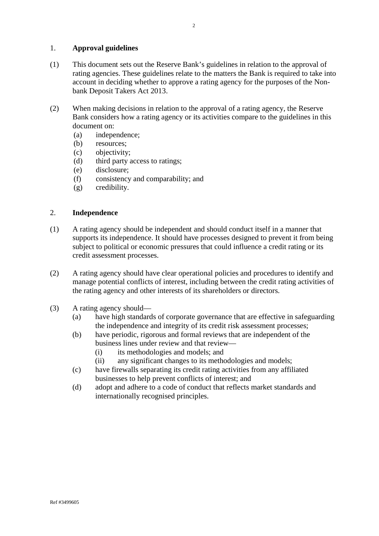## 1. **Approval guidelines**

- (1) This document sets out the Reserve Bank's guidelines in relation to the approval of rating agencies. These guidelines relate to the matters the Bank is required to take into account in deciding whether to approve a rating agency for the purposes of the Nonbank Deposit Takers Act 2013.
- (2) When making decisions in relation to the approval of a rating agency, the Reserve Bank considers how a rating agency or its activities compare to the guidelines in this document on:
	- (a) independence;
	- (b) resources;
	- (c) objectivity;
	- (d) third party access to ratings;
	- (e) disclosure;
	- (f) consistency and comparability; and
	- (g) credibility.

## 2. **Independence**

- (1) A rating agency should be independent and should conduct itself in a manner that supports its independence. It should have processes designed to prevent it from being subject to political or economic pressures that could influence a credit rating or its credit assessment processes.
- (2) A rating agency should have clear operational policies and procedures to identify and manage potential conflicts of interest, including between the credit rating activities of the rating agency and other interests of its shareholders or directors.
- (3) A rating agency should—
	- (a) have high standards of corporate governance that are effective in safeguarding the independence and integrity of its credit risk assessment processes;
	- (b) have periodic, rigorous and formal reviews that are independent of the business lines under review and that review—
		- (i) its methodologies and models; and
		- (ii) any significant changes to its methodologies and models;
	- (c) have firewalls separating its credit rating activities from any affiliated businesses to help prevent conflicts of interest; and
	- (d) adopt and adhere to a code of conduct that reflects market standards and internationally recognised principles.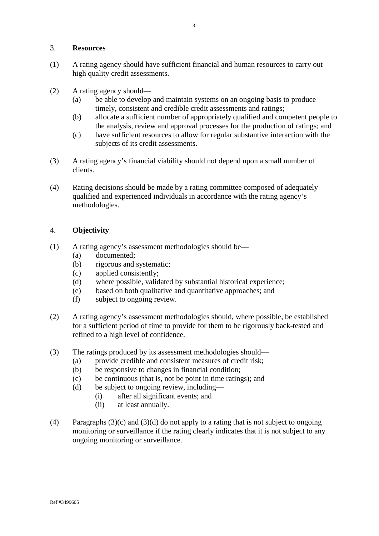#### 3. **Resources**

- (1) A rating agency should have sufficient financial and human resources to carry out high quality credit assessments.
- (2) A rating agency should—
	- (a) be able to develop and maintain systems on an ongoing basis to produce timely, consistent and credible credit assessments and ratings;
	- (b) allocate a sufficient number of appropriately qualified and competent people to the analysis, review and approval processes for the production of ratings; and
	- (c) have sufficient resources to allow for regular substantive interaction with the subjects of its credit assessments.
- (3) A rating agency's financial viability should not depend upon a small number of clients.
- (4) Rating decisions should be made by a rating committee composed of adequately qualified and experienced individuals in accordance with the rating agency's methodologies.

#### 4. **Objectivity**

- (1) A rating agency's assessment methodologies should be—
	- (a) documented;
	- (b) rigorous and systematic;
	- (c) applied consistently;
	- (d) where possible, validated by substantial historical experience;
	- (e) based on both qualitative and quantitative approaches; and
	- (f) subject to ongoing review.
- (2) A rating agency's assessment methodologies should, where possible, be established for a sufficient period of time to provide for them to be rigorously back-tested and refined to a high level of confidence.
- (3) The ratings produced by its assessment methodologies should—
	- (a) provide credible and consistent measures of credit risk;
	- (b) be responsive to changes in financial condition;
	- (c) be continuous (that is, not be point in time ratings); and
	- (d) be subject to ongoing review, including—
		- (i) after all significant events; and
			- (ii) at least annually.
- (4) Paragraphs (3)(c) and (3)(d) do not apply to a rating that is not subject to ongoing monitoring or surveillance if the rating clearly indicates that it is not subject to any ongoing monitoring or surveillance.